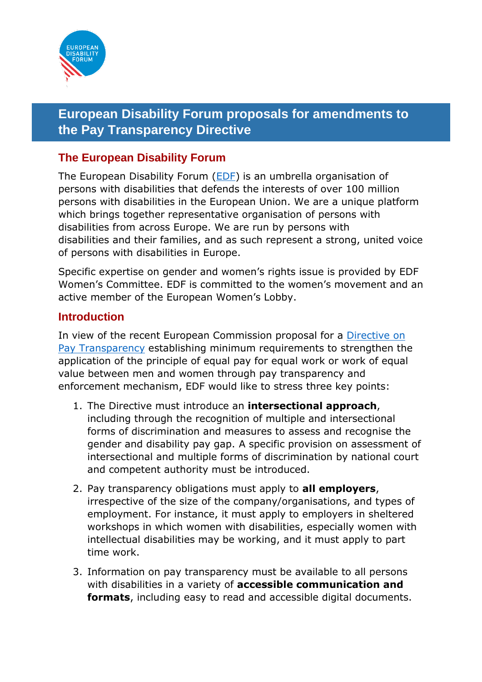

## <span id="page-0-0"></span>**European Disability Forum proposals for amendments to the Pay Transparency Directive**

## <span id="page-0-1"></span>**The European Disability Forum**

The European Disability Forum [\(EDF\)](https://www.edf-feph.org/the-disability-intergroup-is-ready-to-strengthen-the-eu-disability-rights-strategy/) is an umbrella organisation of persons with disabilities that defends the interests of over 100 million persons with disabilities in the European Union. We are a unique platform which brings together representative organisation of persons with disabilities from across Europe. We are run by persons with disabilities and their families, and as such represent a strong, united voice of persons with disabilities in Europe.

Specific expertise on gender and women's rights issue is provided by EDF Women's Committee. EDF is committed to the women's movement and an active member of the European Women's Lobby.

### <span id="page-0-2"></span>**Introduction**

In view of the recent European Commission proposal for a [Directive on](https://www.europarl.europa.eu/RegData/docs_autres_institutions/commission_europeenne/com/2021/0093/COM_COM(2021)0093_EN.pdf)  [Pay Transparency](https://www.europarl.europa.eu/RegData/docs_autres_institutions/commission_europeenne/com/2021/0093/COM_COM(2021)0093_EN.pdf) establishing minimum requirements to strengthen the application of the principle of equal pay for equal work or work of equal value between men and women through pay transparency and enforcement mechanism, EDF would like to stress three key points:

- 1. The Directive must introduce an **intersectional approach**, including through the recognition of multiple and intersectional forms of discrimination and measures to assess and recognise the gender and disability pay gap. A specific provision on assessment of intersectional and multiple forms of discrimination by national court and competent authority must be introduced.
- 2. Pay transparency obligations must apply to **all employers**, irrespective of the size of the company/organisations, and types of employment. For instance, it must apply to employers in sheltered workshops in which women with disabilities, especially women with intellectual disabilities may be working, and it must apply to part time work.
- 3. Information on pay transparency must be available to all persons with disabilities in a variety of **accessible communication and formats**, including easy to read and accessible digital documents.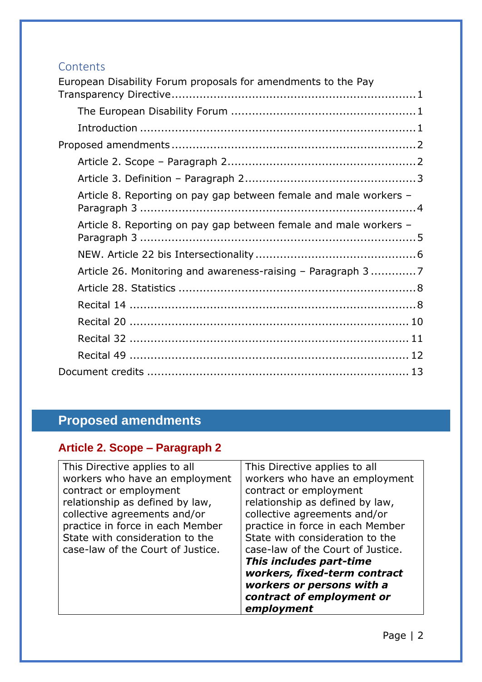## **Contents**

| European Disability Forum proposals for amendments to the Pay     |
|-------------------------------------------------------------------|
|                                                                   |
|                                                                   |
|                                                                   |
|                                                                   |
|                                                                   |
| Article 8. Reporting on pay gap between female and male workers - |
| Article 8. Reporting on pay gap between female and male workers - |
|                                                                   |
| Article 26. Monitoring and awareness-raising - Paragraph 37       |
|                                                                   |
|                                                                   |
|                                                                   |
|                                                                   |
|                                                                   |
|                                                                   |

# <span id="page-1-0"></span>**Proposed amendments**

## <span id="page-1-1"></span>**Article 2. Scope – Paragraph 2**

| This Directive applies to all     | This Directive applies to all     |
|-----------------------------------|-----------------------------------|
| workers who have an employment    | workers who have an employment    |
| contract or employment            | contract or employment            |
| relationship as defined by law,   | relationship as defined by law,   |
| collective agreements and/or      | collective agreements and/or      |
| practice in force in each Member  | practice in force in each Member  |
| State with consideration to the   | State with consideration to the   |
| case-law of the Court of Justice. | case-law of the Court of Justice. |
|                                   | This includes part-time           |
|                                   | workers, fixed-term contract      |
|                                   | workers or persons with a         |
|                                   | contract of employment or         |
|                                   | employment                        |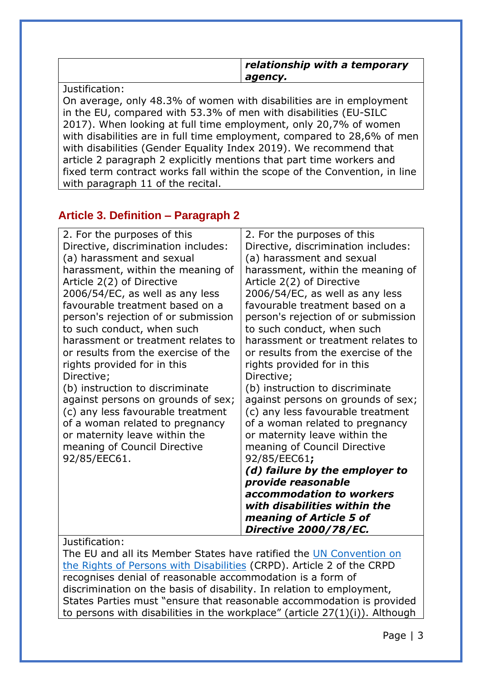|                                                                     | relationship with a temporary<br>agency. |
|---------------------------------------------------------------------|------------------------------------------|
| Justification:                                                      |                                          |
| On average, only 48.3% of women with disabilities are in employment |                                          |
| in the EU, compared with 53.3% of men with disabilities (EU-SILC    |                                          |
|                                                                     |                                          |

2017). When looking at full time employment, only 20,7% of women with disabilities are in full time employment, compared to 28,6% of men with disabilities (Gender Equality Index 2019). We recommend that article 2 paragraph 2 explicitly mentions that part time workers and fixed term contract works fall within the scope of the Convention, in line with paragraph 11 of the recital.

## <span id="page-2-0"></span>**Article 3. Definition – Paragraph 2**

| 2. For the purposes of this<br>Directive, discrimination includes:<br>(a) harassment and sexual<br>harassment, within the meaning of<br>Article 2(2) of Directive<br>2006/54/EC, as well as any less<br>favourable treatment based on a<br>person's rejection of or submission<br>to such conduct, when such<br>harassment or treatment relates to<br>or results from the exercise of the<br>rights provided for in this<br>Directive;<br>(b) instruction to discriminate<br>against persons on grounds of sex;<br>(c) any less favourable treatment<br>of a woman related to pregnancy<br>or maternity leave within the<br>meaning of Council Directive<br>92/85/EEC61.<br>Justification: | 2. For the purposes of this<br>Directive, discrimination includes:<br>(a) harassment and sexual<br>harassment, within the meaning of<br>Article 2(2) of Directive<br>2006/54/EC, as well as any less<br>favourable treatment based on a<br>person's rejection of or submission<br>to such conduct, when such<br>harassment or treatment relates to<br>or results from the exercise of the<br>rights provided for in this<br>Directive;<br>(b) instruction to discriminate<br>against persons on grounds of sex;<br>(c) any less favourable treatment<br>of a woman related to pregnancy<br>or maternity leave within the<br>meaning of Council Directive<br>92/85/EEC61;<br>(d) failure by the employer to<br>provide reasonable<br>accommodation to workers<br>with disabilities within the<br>meaning of Article 5 of<br>Directive 2000/78/EC. |
|--------------------------------------------------------------------------------------------------------------------------------------------------------------------------------------------------------------------------------------------------------------------------------------------------------------------------------------------------------------------------------------------------------------------------------------------------------------------------------------------------------------------------------------------------------------------------------------------------------------------------------------------------------------------------------------------|--------------------------------------------------------------------------------------------------------------------------------------------------------------------------------------------------------------------------------------------------------------------------------------------------------------------------------------------------------------------------------------------------------------------------------------------------------------------------------------------------------------------------------------------------------------------------------------------------------------------------------------------------------------------------------------------------------------------------------------------------------------------------------------------------------------------------------------------------|
|                                                                                                                                                                                                                                                                                                                                                                                                                                                                                                                                                                                                                                                                                            |                                                                                                                                                                                                                                                                                                                                                                                                                                                                                                                                                                                                                                                                                                                                                                                                                                                  |

The EU and all its Member States have ratified the [UN Convention on](https://www.un.org/development/desa/disabilities/convention-on-the-rights-of-persons-with-disabilities/convention-on-the-rights-of-persons-with-disabilities-2.html)  [the Rights of Persons with Disabilities](https://www.un.org/development/desa/disabilities/convention-on-the-rights-of-persons-with-disabilities/convention-on-the-rights-of-persons-with-disabilities-2.html) (CRPD). Article 2 of the CRPD recognises denial of reasonable accommodation is a form of discrimination on the basis of disability. In relation to employment, States Parties must "ensure that reasonable accommodation is provided to persons with disabilities in the workplace" (article 27(1)(i)). Although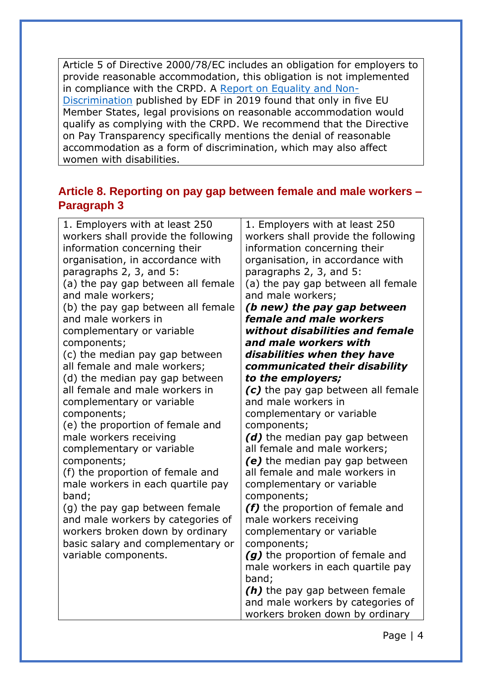Article 5 of Directive 2000/78/EC includes an obligation for employers to provide reasonable accommodation, this obligation is not implemented in compliance with the CRPD. A [Report on Equality and Non-](https://gallery.mailchimp.com/865a5bbea1086c57a41cc876d/files/f407f5b5-0784-4954-b570-2f56e8f10009/EDF_HUMANRIGHTSREPORT_iss3_accessible.pdf)[Discrimination](https://gallery.mailchimp.com/865a5bbea1086c57a41cc876d/files/f407f5b5-0784-4954-b570-2f56e8f10009/EDF_HUMANRIGHTSREPORT_iss3_accessible.pdf) published by EDF in 2019 found that only in five EU Member States, legal provisions on reasonable accommodation would qualify as complying with the CRPD. We recommend that the Directive on Pay Transparency specifically mentions the denial of reasonable accommodation as a form of discrimination, which may also affect women with disabilities.

## <span id="page-3-0"></span>**Article 8. Reporting on pay gap between female and male workers – Paragraph 3**

| 1. Employers with at least 250                                        | 1. Employers with at least 250                                   |
|-----------------------------------------------------------------------|------------------------------------------------------------------|
| workers shall provide the following                                   | workers shall provide the following                              |
| information concerning their                                          | information concerning their                                     |
| organisation, in accordance with                                      | organisation, in accordance with                                 |
| paragraphs 2, 3, and 5:                                               | paragraphs 2, 3, and 5:                                          |
| (a) the pay gap between all female<br>and male workers;               | (a) the pay gap between all female<br>and male workers;          |
| (b) the pay gap between all female                                    | (b new) the pay gap between                                      |
| and male workers in                                                   | female and male workers                                          |
| complementary or variable                                             | without disabilities and female                                  |
| components;                                                           | and male workers with                                            |
| (c) the median pay gap between                                        | disabilities when they have                                      |
| all female and male workers;                                          | communicated their disability                                    |
| (d) the median pay gap between                                        | to the employers;                                                |
| all female and male workers in                                        | (c) the pay gap between all female                               |
| complementary or variable                                             | and male workers in                                              |
| components;                                                           | complementary or variable                                        |
| (e) the proportion of female and                                      | components;                                                      |
| male workers receiving                                                | (d) the median pay gap between                                   |
| complementary or variable                                             | all female and male workers;                                     |
| components;                                                           | (e) the median pay gap between<br>all female and male workers in |
| (f) the proportion of female and<br>male workers in each quartile pay | complementary or variable                                        |
| band;                                                                 | components;                                                      |
| (g) the pay gap between female                                        | (f) the proportion of female and                                 |
| and male workers by categories of                                     | male workers receiving                                           |
| workers broken down by ordinary                                       | complementary or variable                                        |
| basic salary and complementary or                                     | components;                                                      |
| variable components.                                                  | (g) the proportion of female and                                 |
|                                                                       | male workers in each quartile pay                                |
|                                                                       | band;                                                            |
|                                                                       | (h) the pay gap between female                                   |
|                                                                       | and male workers by categories of                                |
|                                                                       | workers broken down by ordinary                                  |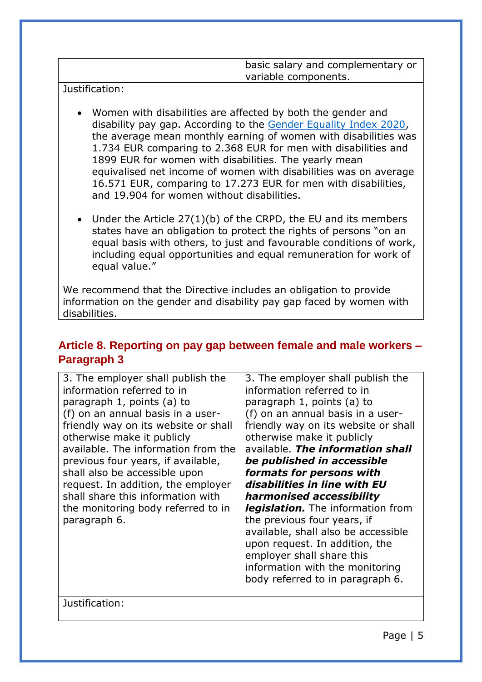| basic salary and complementary or |
|-----------------------------------|
| variable components.              |
|                                   |

Justification:

- Women with disabilities are affected by both the gender and disability pay gap. According to the [Gender Equality Index 2020,](https://eige.europa.eu/gender-equality-index/2020/domain/money/disability) the average mean monthly earning of women with disabilities was 1.734 EUR comparing to 2.368 EUR for men with disabilities and 1899 EUR for women with disabilities. The yearly mean equivalised net income of women with disabilities was on average 16.571 EUR, comparing to 17.273 EUR for men with disabilities, and 19.904 for women without disabilities.
- Under the Article 27(1)(b) of the CRPD, the EU and its members states have an obligation to protect the rights of persons "on an equal basis with others, to just and favourable conditions of work, including equal opportunities and equal remuneration for work of equal value."

We recommend that the Directive includes an obligation to provide information on the gender and disability pay gap faced by women with disabilities.

## <span id="page-4-0"></span>**Article 8. Reporting on pay gap between female and male workers – Paragraph 3**

| 3. The employer shall publish the<br>information referred to in<br>paragraph 1, points (a) to<br>(f) on an annual basis in a user-<br>friendly way on its website or shall<br>otherwise make it publicly<br>available. The information from the<br>previous four years, if available,<br>shall also be accessible upon<br>request. In addition, the employer<br>shall share this information with<br>the monitoring body referred to in<br>paragraph 6. | 3. The employer shall publish the<br>information referred to in<br>paragraph 1, points (a) to<br>(f) on an annual basis in a user-<br>friendly way on its website or shall<br>otherwise make it publicly<br>available. The information shall<br>be published in accessible<br>formats for persons with<br>disabilities in line with EU<br>harmonised accessibility<br>legislation. The information from<br>the previous four years, if<br>available, shall also be accessible<br>upon request. In addition, the<br>employer shall share this<br>information with the monitoring<br>body referred to in paragraph 6. |
|---------------------------------------------------------------------------------------------------------------------------------------------------------------------------------------------------------------------------------------------------------------------------------------------------------------------------------------------------------------------------------------------------------------------------------------------------------|---------------------------------------------------------------------------------------------------------------------------------------------------------------------------------------------------------------------------------------------------------------------------------------------------------------------------------------------------------------------------------------------------------------------------------------------------------------------------------------------------------------------------------------------------------------------------------------------------------------------|
|---------------------------------------------------------------------------------------------------------------------------------------------------------------------------------------------------------------------------------------------------------------------------------------------------------------------------------------------------------------------------------------------------------------------------------------------------------|---------------------------------------------------------------------------------------------------------------------------------------------------------------------------------------------------------------------------------------------------------------------------------------------------------------------------------------------------------------------------------------------------------------------------------------------------------------------------------------------------------------------------------------------------------------------------------------------------------------------|

Justification: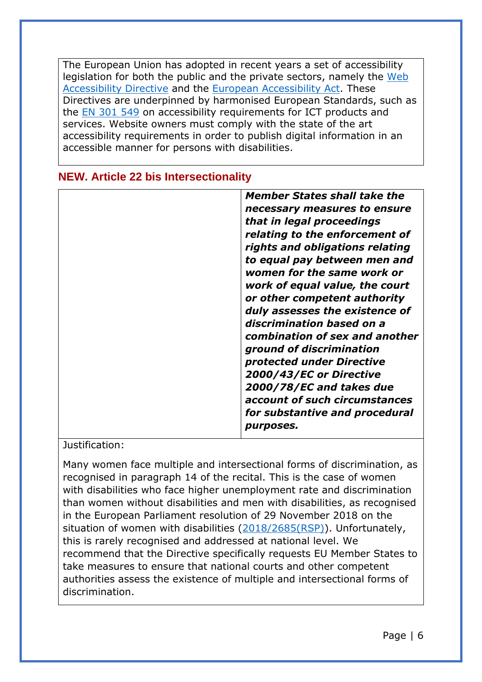The European Union has adopted in recent years a set of accessibility legislation for both the public and the private sectors, namely the [Web](https://eur-lex.europa.eu/eli/dir/2016/2102/oj)  [Accessibility Directive](https://eur-lex.europa.eu/eli/dir/2016/2102/oj) and the [European Accessibility Act.](https://eur-lex.europa.eu/legal-content/EN/TXT/?uri=uriserv:OJ.L_.2019.151.01.0070.01.ENG&toc=OJ:L:2019:151:TOC) These Directives are underpinned by harmonised European Standards, such as the [EN 301 549](https://www.etsi.org/deliver/etsi_en/301500_301599/301549/03.02.01_60/en_301549v030201p.pdf) on accessibility requirements for ICT products and services. Website owners must comply with the state of the art accessibility requirements in order to publish digital information in an accessible manner for persons with disabilities.

| <b>Member States shall take the</b>                            |
|----------------------------------------------------------------|
| necessary measures to ensure                                   |
| that in legal proceedings                                      |
| relating to the enforcement of                                 |
| rights and obligations relating                                |
| to equal pay between men and<br>women for the same work or     |
| work of equal value, the court<br>or other competent authority |
| duly assesses the existence of                                 |
| discrimination based on a                                      |
| combination of sex and another                                 |
| ground of discrimination                                       |
| protected under Directive                                      |
| 2000/43/EC or Directive                                        |
| 2000/78/EC and takes due                                       |
| account of such circumstances                                  |
| for substantive and procedural                                 |
| <i>purposes.</i>                                               |

## <span id="page-5-0"></span>**NEW. Article 22 bis Intersectionality**

#### Justification:

Many women face multiple and intersectional forms of discrimination, as recognised in paragraph 14 of the recital. This is the case of women with disabilities who face higher unemployment rate and discrimination than women without disabilities and men with disabilities, as recognised in the European Parliament resolution of 29 November 2018 on the situation of women with disabilities [\(2018/2685\(RSP\)\)](https://oeil.secure.europarl.europa.eu/oeil/popups/ficheprocedure.do?lang=en&reference=2018/2685(RSP)). Unfortunately, this is rarely recognised and addressed at national level. We recommend that the Directive specifically requests EU Member States to take measures to ensure that national courts and other competent authorities assess the existence of multiple and intersectional forms of discrimination.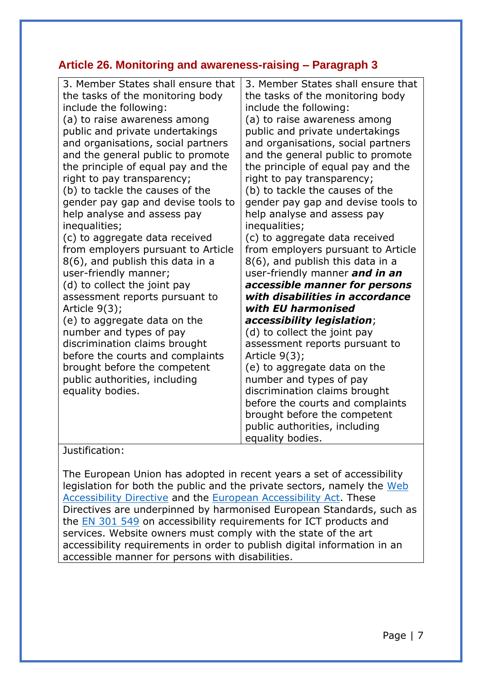## <span id="page-6-0"></span>**Article 26. Monitoring and awareness-raising – Paragraph 3**

| 3. Member States shall ensure that<br>the tasks of the monitoring body<br>include the following:<br>(a) to raise awareness among<br>public and private undertakings<br>and organisations, social partners<br>and the general public to promote<br>the principle of equal pay and the<br>right to pay transparency;<br>(b) to tackle the causes of the<br>gender pay gap and devise tools to<br>help analyse and assess pay<br>inequalities;<br>(c) to aggregate data received<br>from employers pursuant to Article<br>8(6), and publish this data in a<br>user-friendly manner;<br>(d) to collect the joint pay<br>assessment reports pursuant to<br>Article $9(3)$ ;<br>(e) to aggregate data on the<br>number and types of pay<br>discrimination claims brought<br>before the courts and complaints<br>brought before the competent<br>public authorities, including<br>equality bodies. | 3. Member States shall ensure that<br>the tasks of the monitoring body<br>include the following:<br>(a) to raise awareness among<br>public and private undertakings<br>and organisations, social partners<br>and the general public to promote<br>the principle of equal pay and the<br>right to pay transparency;<br>(b) to tackle the causes of the<br>gender pay gap and devise tools to<br>help analyse and assess pay<br>inequalities;<br>(c) to aggregate data received<br>from employers pursuant to Article<br>8(6), and publish this data in a<br>user-friendly manner and in an<br>accessible manner for persons<br>with disabilities in accordance<br>with EU harmonised<br>accessibility legislation;<br>(d) to collect the joint pay<br>assessment reports pursuant to<br>Article $9(3)$ ;<br>(e) to aggregate data on the<br>number and types of pay<br>discrimination claims brought<br>before the courts and complaints<br>brought before the competent<br>public authorities, including<br>equality bodies. |
|---------------------------------------------------------------------------------------------------------------------------------------------------------------------------------------------------------------------------------------------------------------------------------------------------------------------------------------------------------------------------------------------------------------------------------------------------------------------------------------------------------------------------------------------------------------------------------------------------------------------------------------------------------------------------------------------------------------------------------------------------------------------------------------------------------------------------------------------------------------------------------------------|------------------------------------------------------------------------------------------------------------------------------------------------------------------------------------------------------------------------------------------------------------------------------------------------------------------------------------------------------------------------------------------------------------------------------------------------------------------------------------------------------------------------------------------------------------------------------------------------------------------------------------------------------------------------------------------------------------------------------------------------------------------------------------------------------------------------------------------------------------------------------------------------------------------------------------------------------------------------------------------------------------------------------|

#### Justification:

The European Union has adopted in recent years a set of accessibility legislation for both the public and the private sectors, namely the [Web](https://eur-lex.europa.eu/eli/dir/2016/2102/oj)  [Accessibility Directive](https://eur-lex.europa.eu/eli/dir/2016/2102/oj) and the [European Accessibility Act.](https://eur-lex.europa.eu/legal-content/EN/TXT/?uri=uriserv:OJ.L_.2019.151.01.0070.01.ENG&toc=OJ:L:2019:151:TOC) These Directives are underpinned by harmonised European Standards, such as the [EN 301 549](https://www.etsi.org/deliver/etsi_en/301500_301599/301549/03.02.01_60/en_301549v030201p.pdf) on accessibility requirements for ICT products and services. Website owners must comply with the state of the art accessibility requirements in order to publish digital information in an accessible manner for persons with disabilities.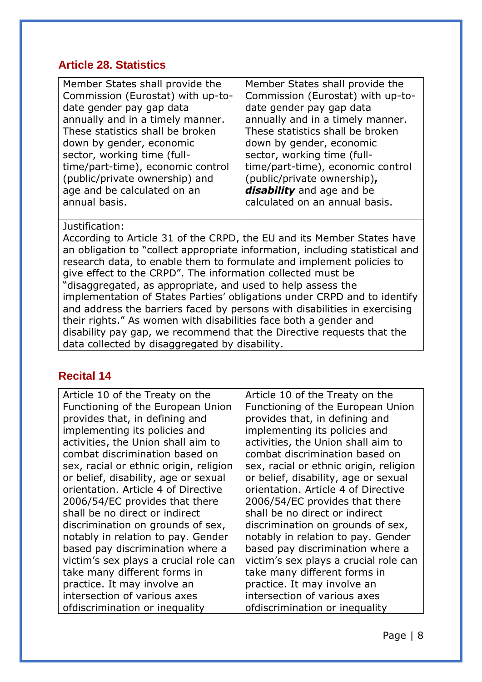### <span id="page-7-0"></span>**Article 28. Statistics**

| Member States shall provide the   | Member States shall provide the   |
|-----------------------------------|-----------------------------------|
| Commission (Eurostat) with up-to- | Commission (Eurostat) with up-to- |
| date gender pay gap data          | date gender pay gap data          |
| annually and in a timely manner.  | annually and in a timely manner.  |
| These statistics shall be broken  | These statistics shall be broken  |
| down by gender, economic          | down by gender, economic          |
| sector, working time (full-       | sector, working time (full-       |
| time/part-time), economic control | time/part-time), economic control |
| (public/private ownership) and    | (public/private ownership),       |
| age and be calculated on an       | disability and age and be         |
| annual basis.                     | calculated on an annual basis.    |

#### Justification:

According to Article 31 of the CRPD, the EU and its Member States have an obligation to "collect appropriate information, including statistical and research data, to enable them to formulate and implement policies to give effect to the CRPD". The information collected must be "disaggregated, as appropriate, and used to help assess the implementation of States Parties' obligations under CRPD and to identify and address the barriers faced by persons with disabilities in exercising their rights." As women with disabilities face both a gender and disability pay gap, we recommend that the Directive requests that the data collected by disaggregated by disability.

#### <span id="page-7-1"></span>**Recital 14**

Article 10 of the Treaty on the Functioning of the European Union provides that, in defining and implementing its policies and activities, the Union shall aim to combat discrimination based on sex, racial or ethnic origin, religion or belief, disability, age or sexual orientation. Article 4 of Directive 2006/54/EC provides that there shall be no direct or indirect discrimination on grounds of sex, notably in relation to pay. Gender based pay discrimination where a victim's sex plays a crucial role can take many different forms in practice. It may involve an intersection of various axes ofdiscrimination or inequality

Article 10 of the Treaty on the Functioning of the European Union provides that, in defining and implementing its policies and activities, the Union shall aim to combat discrimination based on sex, racial or ethnic origin, religion or belief, disability, age or sexual orientation. Article 4 of Directive 2006/54/EC provides that there shall be no direct or indirect discrimination on grounds of sex, notably in relation to pay. Gender based pay discrimination where a victim's sex plays a crucial role can take many different forms in practice. It may involve an intersection of various axes ofdiscrimination or inequality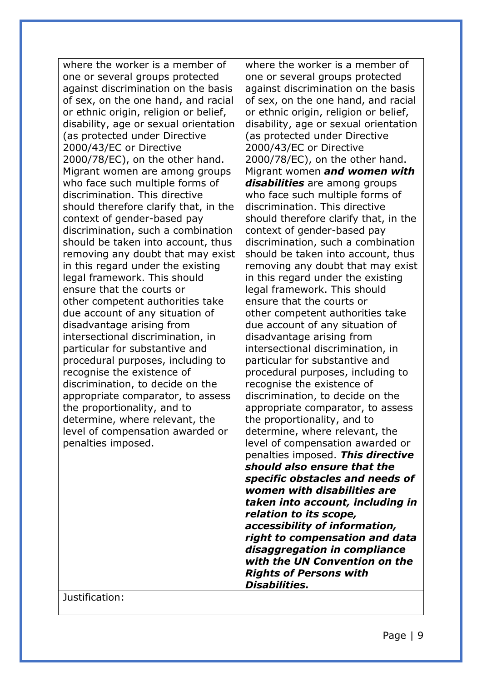where the worker is a member of one or several groups protected against discrimination on the basis of sex, on the one hand, and racial or ethnic origin, religion or belief, disability, age or sexual orientation (as protected under Directive 2000/43/EC or Directive 2000/78/EC), on the other hand. Migrant women are among groups who face such multiple forms of discrimination. This directive should therefore clarify that, in the context of gender-based pay discrimination, such a combination should be taken into account, thus removing any doubt that may exist in this regard under the existing legal framework. This should ensure that the courts or other competent authorities take due account of any situation of disadvantage arising from intersectional discrimination, in particular for substantive and procedural purposes, including to recognise the existence of discrimination, to decide on the appropriate comparator, to assess the proportionality, and to determine, where relevant, the level of compensation awarded or penalties imposed.

where the worker is a member of one or several groups protected against discrimination on the basis of sex, on the one hand, and racial or ethnic origin, religion or belief, disability, age or sexual orientation (as protected under Directive 2000/43/EC or Directive 2000/78/EC), on the other hand. Migrant women *and women with disabilities* are among groups who face such multiple forms of discrimination. This directive should therefore clarify that, in the context of gender-based pay discrimination, such a combination should be taken into account, thus removing any doubt that may exist in this regard under the existing legal framework. This should ensure that the courts or other competent authorities take due account of any situation of disadvantage arising from intersectional discrimination, in particular for substantive and procedural purposes, including to recognise the existence of discrimination, to decide on the appropriate comparator, to assess the proportionality, and to determine, where relevant, the level of compensation awarded or penalties imposed. *This directive should also ensure that the specific obstacles and needs of women with disabilities are taken into account, including in relation to its scope, accessibility of information, right to compensation and data disaggregation in compliance with the UN Convention on the Rights of Persons with Disabilities.* 

Justification: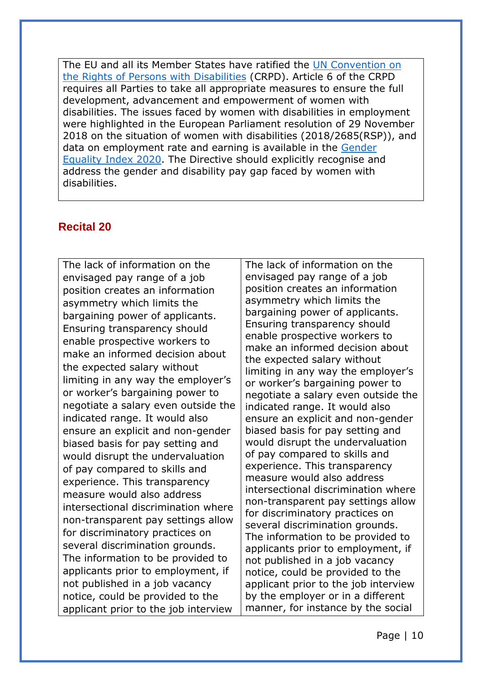The EU and all its Member States have ratified the [UN Convention on](https://www.un.org/development/desa/disabilities/convention-on-the-rights-of-persons-with-disabilities/convention-on-the-rights-of-persons-with-disabilities-2.html)  [the Rights of Persons with Disabilities](https://www.un.org/development/desa/disabilities/convention-on-the-rights-of-persons-with-disabilities/convention-on-the-rights-of-persons-with-disabilities-2.html) (CRPD). Article 6 of the CRPD requires all Parties to take all appropriate measures to ensure the full development, advancement and empowerment of women with disabilities. The issues faced by women with disabilities in employment were highlighted in the European Parliament resolution of 29 November 2018 on the situation of women with disabilities (2018/2685(RSP)), and data on employment rate and earning is available in the [Gender](https://eige.europa.eu/gender-equality-index/2020/domain/work/disability)  [Equality Index 2020.](https://eige.europa.eu/gender-equality-index/2020/domain/work/disability) The Directive should explicitly recognise and address the gender and disability pay gap faced by women with disabilities.

#### <span id="page-9-0"></span>**Recital 20**

The lack of information on the envisaged pay range of a job position creates an information asymmetry which limits the bargaining power of applicants. Ensuring transparency should enable prospective workers to make an informed decision about the expected salary without limiting in any way the employer's or worker's bargaining power to negotiate a salary even outside the indicated range. It would also ensure an explicit and non-gender biased basis for pay setting and would disrupt the undervaluation of pay compared to skills and experience. This transparency measure would also address intersectional discrimination where non-transparent pay settings allow for discriminatory practices on several discrimination grounds. The information to be provided to applicants prior to employment, if not published in a job vacancy notice, could be provided to the applicant prior to the job interview

The lack of information on the envisaged pay range of a job position creates an information asymmetry which limits the bargaining power of applicants. Ensuring transparency should enable prospective workers to make an informed decision about the expected salary without limiting in any way the employer's or worker's bargaining power to negotiate a salary even outside the indicated range. It would also ensure an explicit and non-gender biased basis for pay setting and would disrupt the undervaluation of pay compared to skills and experience. This transparency measure would also address intersectional discrimination where non-transparent pay settings allow for discriminatory practices on several discrimination grounds. The information to be provided to applicants prior to employment, if not published in a job vacancy notice, could be provided to the applicant prior to the job interview by the employer or in a different manner, for instance by the social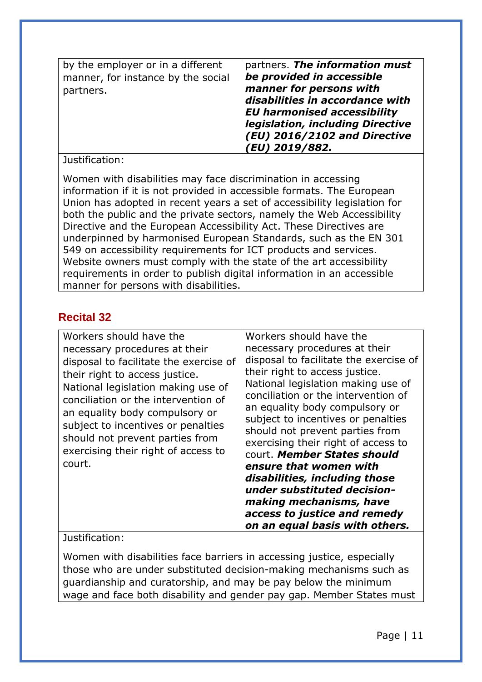| by the employer or in a different  | partners. The information must                                                                                                                                                         |
|------------------------------------|----------------------------------------------------------------------------------------------------------------------------------------------------------------------------------------|
| manner, for instance by the social | be provided in accessible                                                                                                                                                              |
| partners.                          | manner for persons with<br>disabilities in accordance with<br><b>EU harmonised accessibility</b><br>legislation, including Directive<br>(EU) 2016/2102 and Directive<br>(EU) 2019/882. |

#### Justification:

Women with disabilities may face discrimination in accessing information if it is not provided in accessible formats. The European Union has adopted in recent years a set of accessibility legislation for both the public and the private sectors, namely the Web Accessibility Directive and the European Accessibility Act. These Directives are underpinned by harmonised European Standards, such as the EN 301 549 on accessibility requirements for ICT products and services. Website owners must comply with the state of the art accessibility requirements in order to publish digital information in an accessible manner for persons with disabilities.

## <span id="page-10-0"></span>**Recital 32**

| Workers should have the                                                                                                                                                                | Workers should have the                                                                                                                                                                                                                                                                                                                                              |
|----------------------------------------------------------------------------------------------------------------------------------------------------------------------------------------|----------------------------------------------------------------------------------------------------------------------------------------------------------------------------------------------------------------------------------------------------------------------------------------------------------------------------------------------------------------------|
| necessary procedures at their<br>disposal to facilitate the exercise of<br>their right to access justice.<br>National legislation making use of<br>conciliation or the intervention of | necessary procedures at their<br>disposal to facilitate the exercise of<br>their right to access justice.<br>National legislation making use of<br>conciliation or the intervention of                                                                                                                                                                               |
| an equality body compulsory or<br>subject to incentives or penalties<br>should not prevent parties from<br>exercising their right of access to<br>court.                               | an equality body compulsory or<br>subject to incentives or penalties<br>should not prevent parties from<br>exercising their right of access to<br>court. Member States should<br>ensure that women with<br>disabilities, including those<br>under substituted decision-<br>making mechanisms, have<br>access to justice and remedy<br>on an equal basis with others. |

#### Justification:

Women with disabilities face barriers in accessing justice, especially those who are under substituted decision-making mechanisms such as guardianship and curatorship, and may be pay below the minimum wage and face both disability and gender pay gap. Member States must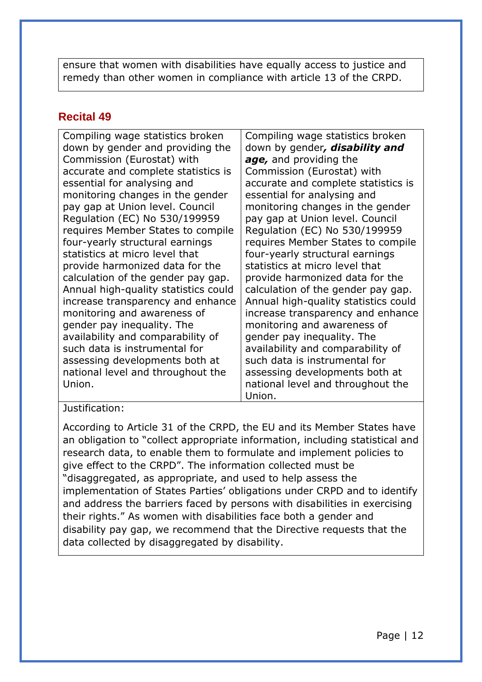ensure that women with disabilities have equally access to justice and remedy than other women in compliance with article 13 of the CRPD.

## <span id="page-11-0"></span>**Recital 49**

Compiling wage statistics broken down by gender and providing the Commission (Eurostat) with accurate and complete statistics is essential for analysing and monitoring changes in the gender pay gap at Union level. Council Regulation (EC) No 530/199959 requires Member States to compile four-yearly structural earnings statistics at micro level that provide harmonized data for the calculation of the gender pay gap. Annual high-quality statistics could increase transparency and enhance monitoring and awareness of gender pay inequality. The availability and comparability of such data is instrumental for assessing developments both at national level and throughout the Union.

Compiling wage statistics broken down by gender*, disability and age,* and providing the Commission (Eurostat) with accurate and complete statistics is essential for analysing and monitoring changes in the gender pay gap at Union level. Council Regulation (EC) No 530/199959 requires Member States to compile four-yearly structural earnings statistics at micro level that provide harmonized data for the calculation of the gender pay gap. Annual high-quality statistics could increase transparency and enhance monitoring and awareness of gender pay inequality. The availability and comparability of such data is instrumental for assessing developments both at national level and throughout the Union.

#### Justification:

According to Article 31 of the CRPD, the EU and its Member States have an obligation to "collect appropriate information, including statistical and research data, to enable them to formulate and implement policies to give effect to the CRPD". The information collected must be "disaggregated, as appropriate, and used to help assess the implementation of States Parties' obligations under CRPD and to identify and address the barriers faced by persons with disabilities in exercising their rights." As women with disabilities face both a gender and disability pay gap, we recommend that the Directive requests that the data collected by disaggregated by disability.